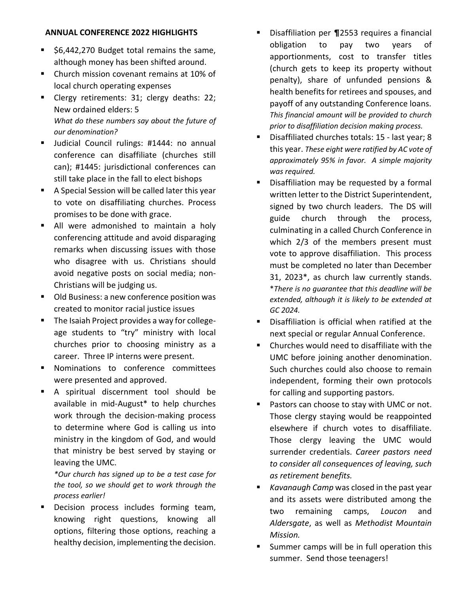## **ANNUAL CONFERENCE 2022 HIGHLIGHTS**

- \$6,442,270 Budget total remains the same, although money has been shifted around.
- Church mission covenant remains at 10% of local church operating expenses
- Clergy retirements: 31; clergy deaths: 22; New ordained elders: 5 *What do these numbers say about the future of our denomination?*
- Judicial Council rulings: #1444: no annual conference can disaffiliate (churches still can); #1445: jurisdictional conferences can still take place in the fall to elect bishops
- A Special Session will be called later this year to vote on disaffiliating churches. Process promises to be done with grace.
- All were admonished to maintain a holy conferencing attitude and avoid disparaging remarks when discussing issues with those who disagree with us. Christians should avoid negative posts on social media; non-Christians will be judging us.
- Old Business: a new conference position was created to monitor racial justice issues
- The Isaiah Project provides a way for collegeage students to "try" ministry with local churches prior to choosing ministry as a career. Three IP interns were present.
- Nominations to conference committees were presented and approved.
- A spiritual discernment tool should be available in mid-August\* to help churches work through the decision-making process to determine where God is calling us into ministry in the kingdom of God, and would that ministry be best served by staying or leaving the UMC.

*\*Our church has signed up to be a test case for the tool, so we should get to work through the process earlier!*

Decision process includes forming team, knowing right questions, knowing all options, filtering those options, reaching a healthy decision, implementing the decision.

- Disaffiliation per ¶2553 requires a financial obligation to pay two years of apportionments, cost to transfer titles (church gets to keep its property without penalty), share of unfunded pensions & health benefits for retirees and spouses, and payoff of any outstanding Conference loans. *This financial amount will be provided to church prior to disaffiliation decision making process.*
- Disaffiliated churches totals: 15 last year; 8 this year. *These eight were ratified by AC vote of approximately 95% in favor. A simple majority was required.*
- Disaffiliation may be requested by a formal written letter to the District Superintendent, signed by two church leaders. The DS will guide church through the process, culminating in a called Church Conference in which 2/3 of the members present must vote to approve disaffiliation. This process must be completed no later than December 31, 2023\*, as church law currently stands. \**There is no guarantee that this deadline will be extended, although it is likely to be extended at GC 2024.*
- Disaffiliation is official when ratified at the next special or regular Annual Conference.
- Churches would need to disaffiliate with the UMC before joining another denomination. Such churches could also choose to remain independent, forming their own protocols for calling and supporting pastors.
- Pastors can choose to stay with UMC or not. Those clergy staying would be reappointed elsewhere if church votes to disaffiliate. Those clergy leaving the UMC would surrender credentials. *Career pastors need to consider all consequences of leaving, such as retirement benefits.*
- *Kavanaugh Camp* was closed in the past year and its assets were distributed among the two remaining camps, *Loucon* and *Aldersgate*, as well as *Methodist Mountain Mission.*
- Summer camps will be in full operation this summer. Send those teenagers!